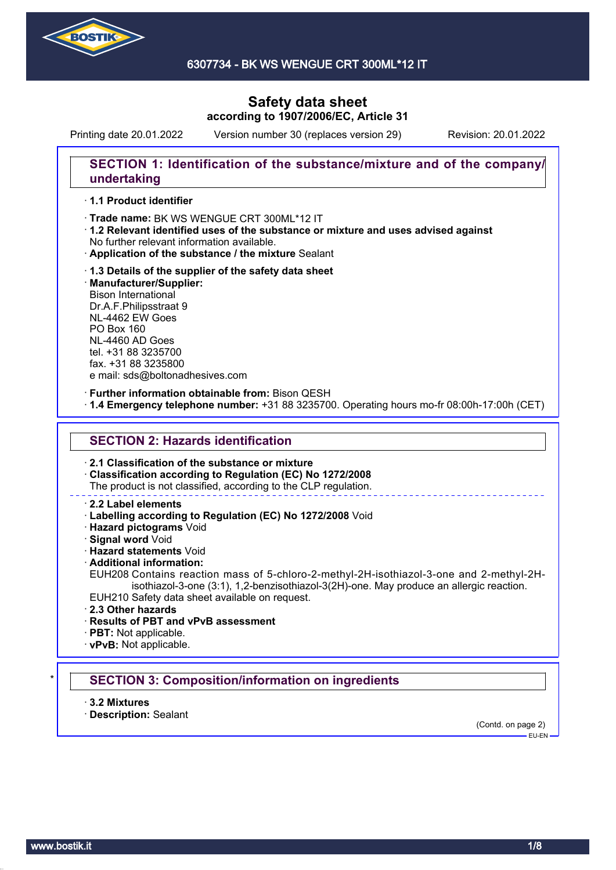

Printing date 20.01.2022 Version number 30 (replaces version 29) Revision: 20.01.2022

# **SECTION 1: Identification of the substance/mixture and of the company/ undertaking**

#### · **1.1 Product identifier**

· Trade name: BK WS WENGUE CRT 300ML\*12 IT

- · **1.2 Relevant identified uses of the substance or mixture and uses advised against** No further relevant information available.
- · **Application of the substance / the mixture** Sealant
- · **1.3 Details of the supplier of the safety data sheet** · **Manufacturer/Supplier:** Bison International Dr.A.F.Philipsstraat 9 NL-4462 EW Goes PO Box 160 NL-4460 AD Goes tel. +31 88 3235700 fax. +31 88 3235800 e mail: sds@boltonadhesives.com

#### · **Further information obtainable from:** Bison QESH

· **1.4 Emergency telephone number:** +31 88 3235700. Operating hours mo-fr 08:00h-17:00h (CET)

### **SECTION 2: Hazards identification**

· **2.1 Classification of the substance or mixture**

· **Classification according to Regulation (EC) No 1272/2008**

The product is not classified, according to the CLP regulation.

#### · **2.2 Label elements**

· **Labelling according to Regulation (EC) No 1272/2008** Void

· **Hazard pictograms** Void

· **Signal word** Void

· **Hazard statements** Void

· **Additional information:**

EUH208 Contains reaction mass of 5-chloro-2-methyl-2H-isothiazol-3-one and 2-methyl-2Hisothiazol-3-one (3:1), 1,2-benzisothiazol-3(2H)-one. May produce an allergic reaction. EUH210 Safety data sheet available on request.

· **2.3 Other hazards**

· **Results of PBT and vPvB assessment**

· **PBT:** Not applicable.

· **vPvB:** Not applicable.

### **SECTION 3: Composition/information on ingredients**

· **3.2 Mixtures**

· **Description:** Sealant

(Contd. on page 2)

 $-$ FU-FN-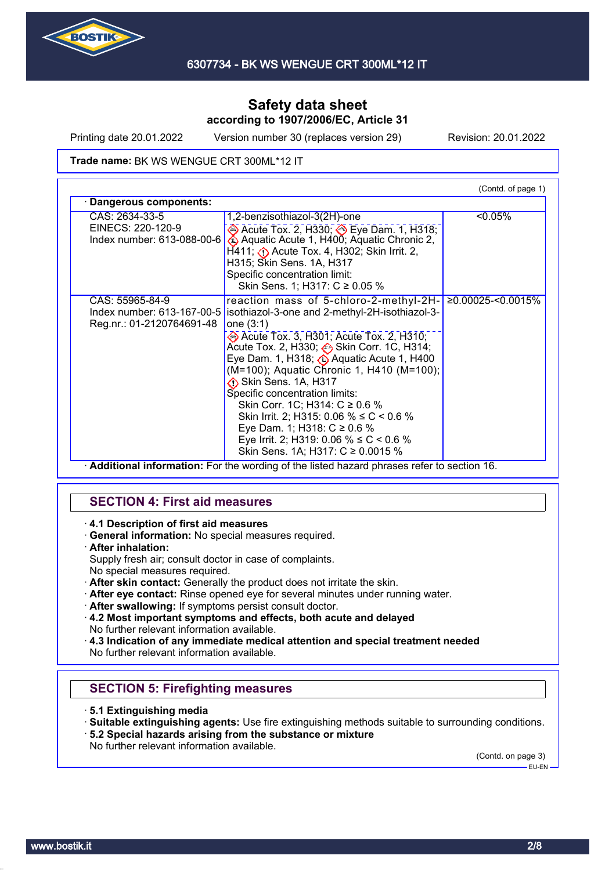

Printing date 20.01.2022 Version number 30 (replaces version 29) Revision: 20.01.2022

#### Trade name: BK WS WENGUE CRT 300ML\*12 IT

|                            |                                                                     | (Contd. of page 1) |  |
|----------------------------|---------------------------------------------------------------------|--------------------|--|
| Dangerous components:      |                                                                     |                    |  |
| CAS: 2634-33-5             | 1,2-benzisothiazol-3(2H)-one                                        | <0.05%             |  |
| EINECS: 220-120-9          | → Acute Tox. 2, H330; → Eye Dam. 1, H318;                           |                    |  |
| Index number: 613-088-00-6 | Aquatic Acute 1, H400; Aquatic Chronic 2,                           |                    |  |
|                            | $H411$ ; $\langle \cdot \rangle$ Acute Tox. 4, H302; Skin Irrit. 2, |                    |  |
|                            | H315; Skin Sens. 1A, H317                                           |                    |  |
|                            | Specific concentration limit:                                       |                    |  |
|                            | Skin Sens. 1; H317: C ≥ 0.05 %                                      |                    |  |
| CAS: 55965-84-9            | reaction mass of 5-chloro-2-methyl-2H-                              | ≥0.00025-<0.0015%  |  |
| Index number: 613-167-00-5 | isothiazol-3-one and 2-methyl-2H-isothiazol-3-                      |                    |  |
| Reg.nr.: 01-2120764691-48  | one $(3:1)$                                                         |                    |  |
|                            | Acute Tox. 3, H301; Acute Tox. 2, H310;                             |                    |  |
|                            | Acute Tox. 2, H330; Skin Corr. 1C, H314;                            |                    |  |
|                            | Eye Dam. 1, H318; 4 Aquatic Acute 1, H400                           |                    |  |
|                            | (M=100); Aquatic Chronic 1, H410 (M=100);                           |                    |  |
|                            | Skin Sens. 1A, H317                                                 |                    |  |
|                            | Specific concentration limits:                                      |                    |  |
|                            | Skin Corr. 1C; H314: C ≥ 0.6 %                                      |                    |  |
|                            | Skin Irrit. 2; H315: 0.06 % $\leq C$ < 0.6 %                        |                    |  |
|                            | Eye Dam. 1; H318: $C \ge 0.6$ %                                     |                    |  |
|                            | Eye Irrit. 2; H319: 0.06 % ≤ C < 0.6 %                              |                    |  |
|                            | Skin Sens. 1A; H317: C ≥ 0.0015 %                                   |                    |  |

· **Additional information:** For the wording of the listed hazard phrases refer to section 16.

# **SECTION 4: First aid measures**

- · **4.1 Description of first aid measures**
- · **General information:** No special measures required.
- · **After inhalation:**
- Supply fresh air; consult doctor in case of complaints.
- No special measures required.
- · **After skin contact:** Generally the product does not irritate the skin.
- · **After eye contact:** Rinse opened eye for several minutes under running water.
- · **After swallowing:** If symptoms persist consult doctor.
- · **4.2 Most important symptoms and effects, both acute and delayed** No further relevant information available.

· **4.3 Indication of any immediate medical attention and special treatment needed** No further relevant information available.

# **SECTION 5: Firefighting measures**

- · **5.1 Extinguishing media**
- · **Suitable extinguishing agents:** Use fire extinguishing methods suitable to surrounding conditions.
- · **5.2 Special hazards arising from the substance or mixture**
- No further relevant information available.

(Contd. on page 3)

EU-EN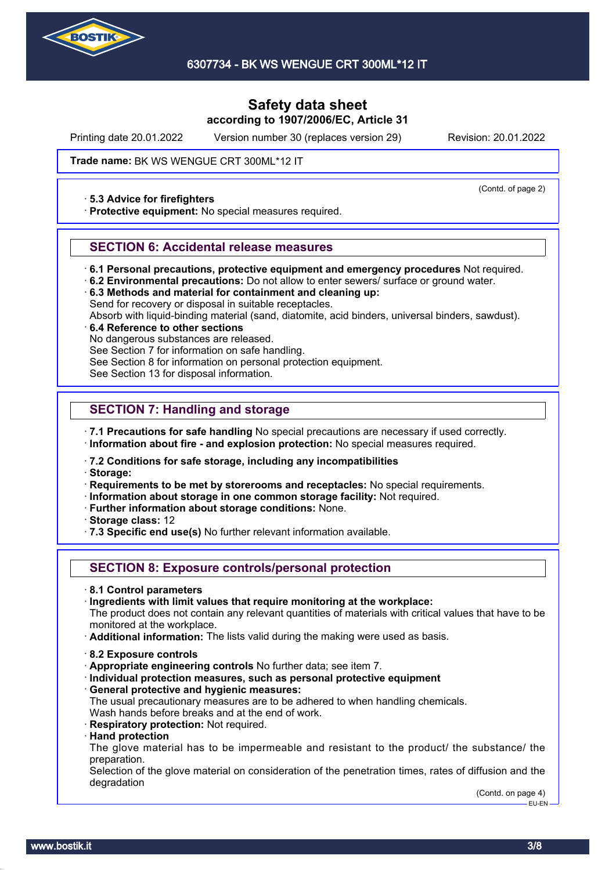

Printing date 20.01.2022 Version number 30 (replaces version 29) Revision: 20.01.2022

(Contd. of page 2)

Trade name: BK WS WENGUE CRT 300ML\*12 IT

#### · **5.3 Advice for firefighters**

· **Protective equipment:** No special measures required.

### **SECTION 6: Accidental release measures**

- · **6.1 Personal precautions, protective equipment and emergency procedures** Not required.
- · **6.2 Environmental precautions:** Do not allow to enter sewers/ surface or ground water.
- · **6.3 Methods and material for containment and cleaning up:** Send for recovery or disposal in suitable receptacles.
- Absorb with liquid-binding material (sand, diatomite, acid binders, universal binders, sawdust).

### · **6.4 Reference to other sections**

No dangerous substances are released.

See Section 7 for information on safe handling.

See Section 8 for information on personal protection equipment.

See Section 13 for disposal information.

# **SECTION 7: Handling and storage**

· **7.1 Precautions for safe handling** No special precautions are necessary if used correctly.

· **Information about fire - and explosion protection:** No special measures required.

· **7.2 Conditions for safe storage, including any incompatibilities**

· **Storage:**

· **Requirements to be met by storerooms and receptacles:** No special requirements.

- · **Information about storage in one common storage facility:** Not required.
- · **Further information about storage conditions:** None.
- · **Storage class:** 12
- · **7.3 Specific end use(s)** No further relevant information available.

# **SECTION 8: Exposure controls/personal protection**

- · **8.1 Control parameters**
- · **Ingredients with limit values that require monitoring at the workplace:**

The product does not contain any relevant quantities of materials with critical values that have to be monitored at the workplace.

· **Additional information:** The lists valid during the making were used as basis.

- · **8.2 Exposure controls**
- · **Appropriate engineering controls** No further data; see item 7.
- · **Individual protection measures, such as personal protective equipment**
- · **General protective and hygienic measures:**
- The usual precautionary measures are to be adhered to when handling chemicals. Wash hands before breaks and at the end of work.
- · **Respiratory protection:** Not required.
- · **Hand protection**

The glove material has to be impermeable and resistant to the product/ the substance/ the preparation.

Selection of the glove material on consideration of the penetration times, rates of diffusion and the degradation

> (Contd. on page 4) EU-EN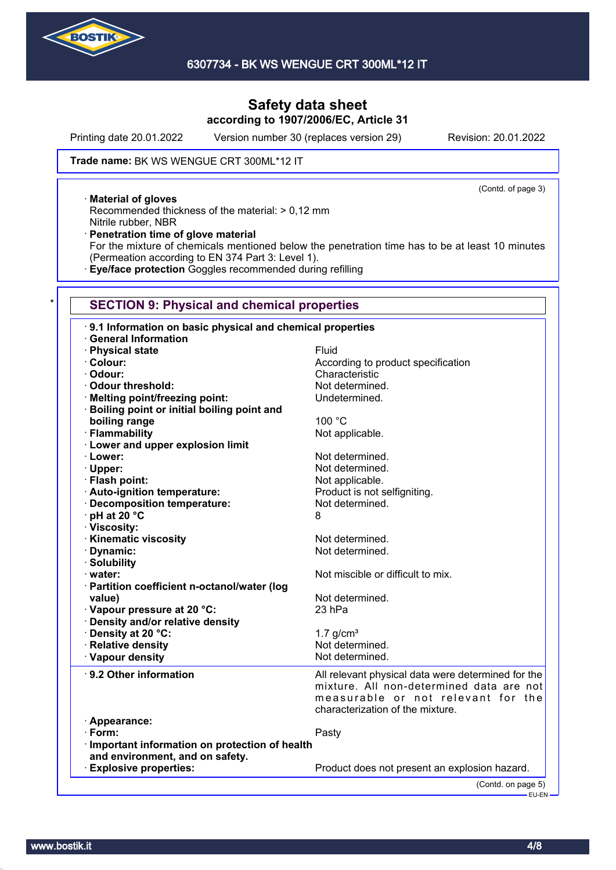

Printing date 20.01.2022 Version number 30 (replaces version 29) Revision: 20.01.2022

(Contd. of page 3)

Trade name: BK WS WENGUE CRT 300ML\*12 IT

· **Material of gloves**

Recommended thickness of the material: > 0,12 mm Nitrile rubber, NBR

· **Penetration time of glove material**

For the mixture of chemicals mentioned below the penetration time has to be at least 10 minutes (Permeation according to EN 374 Part 3: Level 1).

· **Eye/face protection** Goggles recommended during refilling

### **SECTION 9: Physical and chemical properties**

| 9.1 Information on basic physical and chemical properties |                                                                                |  |
|-----------------------------------------------------------|--------------------------------------------------------------------------------|--|
| · General Information                                     |                                                                                |  |
| · Physical state                                          | Fluid                                                                          |  |
| · Colour:                                                 | According to product specification                                             |  |
| · Odour:                                                  | Characteristic                                                                 |  |
| Odour threshold:                                          | Not determined.                                                                |  |
| · Melting point/freezing point:                           | Undetermined.                                                                  |  |
| <b>Boiling point or initial boiling point and</b>         |                                                                                |  |
| boiling range                                             | 100 °C                                                                         |  |
| · Flammability                                            | Not applicable.                                                                |  |
| <b>Lower and upper explosion limit</b>                    |                                                                                |  |
| · Lower:                                                  | Not determined.                                                                |  |
| · Upper:                                                  | Not determined.                                                                |  |
| · Flash point:                                            | Not applicable.                                                                |  |
| · Auto-ignition temperature:                              | Product is not selfigniting.                                                   |  |
| · Decomposition temperature:                              | Not determined.                                                                |  |
| · pH at 20 °C                                             | 8                                                                              |  |
| · Viscosity:                                              |                                                                                |  |
| · Kinematic viscosity                                     | Not determined.                                                                |  |
| · Dynamic:                                                | Not determined.                                                                |  |
| · Solubility                                              |                                                                                |  |
| · water:                                                  | Not miscible or difficult to mix.                                              |  |
| · Partition coefficient n-octanol/water (log              |                                                                                |  |
| value)                                                    | Not determined.                                                                |  |
| Vapour pressure at 20 °C:                                 | 23 hPa                                                                         |  |
| · Density and/or relative density                         |                                                                                |  |
| · Density at 20 °C:                                       | $1.7$ g/cm <sup>3</sup>                                                        |  |
| · Relative density                                        | Not determined.                                                                |  |
| · Vapour density                                          | Not determined.                                                                |  |
| 9.2 Other information                                     | All relevant physical data were determined for the                             |  |
|                                                           | mixture. All non-determined data are not<br>measurable or not relevant for the |  |
|                                                           | characterization of the mixture.                                               |  |
| · Appearance:                                             |                                                                                |  |
| $\cdot$ Form:                                             | Pasty                                                                          |  |
| Important information on protection of health             |                                                                                |  |
| and environment, and on safety.                           |                                                                                |  |
| <b>Explosive properties:</b>                              | Product does not present an explosion hazard.                                  |  |
|                                                           | (Contd. on page 5)                                                             |  |
|                                                           | — EU-EN                                                                        |  |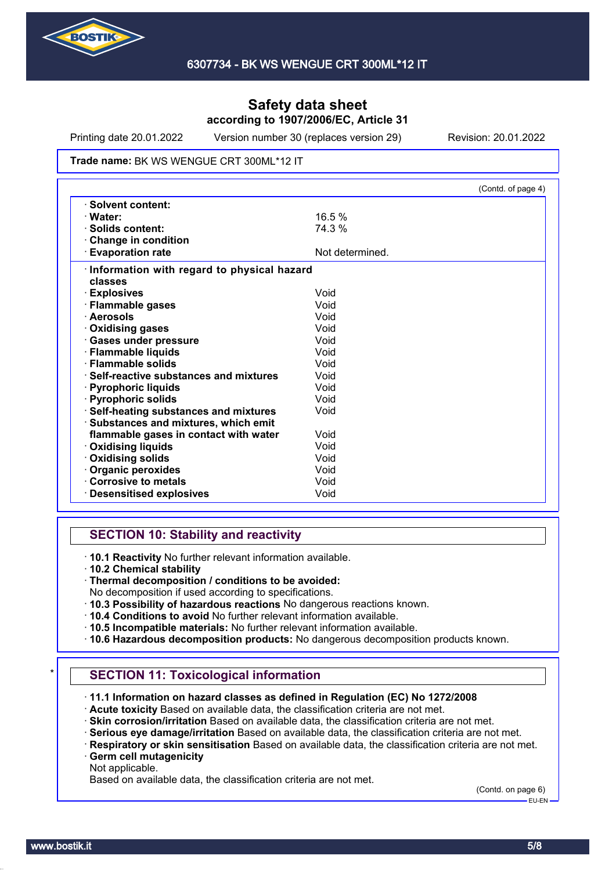

Printing date 20.01.2022 Version number 30 (replaces version 29) Revision: 20.01.2022

#### Trade name: BK WS WENGUE CRT 300ML\*12 IT

|                                               |                 | (Contd. of page 4) |
|-----------------------------------------------|-----------------|--------------------|
| $\cdot$ Solvent content:                      |                 |                    |
| · Water:                                      | 16.5%           |                    |
| $\cdot$ Solids content:                       | 74.3 %          |                    |
| <b>Change in condition</b>                    |                 |                    |
| <b>Evaporation rate</b>                       | Not determined. |                    |
| · Information with regard to physical hazard  |                 |                    |
| classes                                       |                 |                    |
| · Explosives                                  | Void            |                    |
| · Flammable gases                             | Void            |                    |
| · Aerosols                                    | Void            |                    |
| <b>Oxidising gases</b>                        | Void            |                    |
| · Gases under pressure                        | Void            |                    |
| · Flammable liquids                           | Void            |                    |
| · Flammable solids                            | Void            |                    |
| $\cdot$ Self-reactive substances and mixtures | Void            |                    |
| · Pyrophoric liquids                          | Void            |                    |
| · Pyrophoric solids                           | Void            |                    |
| <b>Self-heating substances and mixtures</b>   | Void            |                    |
| · Substances and mixtures, which emit         |                 |                    |
| flammable gases in contact with water         | Void            |                    |
| <b>Oxidising liquids</b>                      | Void            |                    |
| · Oxidising solids                            | Void            |                    |
| Organic peroxides                             | Void            |                    |
| Corrosive to metals                           | Void            |                    |
| <b>Desensitised explosives</b>                | Void            |                    |

# **SECTION 10: Stability and reactivity**

· **10.1 Reactivity** No further relevant information available.

· **10.2 Chemical stability**

- No decomposition if used according to specifications.
- · **10.3 Possibility of hazardous reactions** No dangerous reactions known.
- · **10.4 Conditions to avoid** No further relevant information available.
- · **10.5 Incompatible materials:** No further relevant information available.
- · **10.6 Hazardous decomposition products:** No dangerous decomposition products known.

# **SECTION 11: Toxicological information**

- · **11.1 Information on hazard classes as defined in Regulation (EC) No 1272/2008**
- · **Acute toxicity** Based on available data, the classification criteria are not met.
- · **Skin corrosion/irritation** Based on available data, the classification criteria are not met.
- · **Serious eye damage/irritation** Based on available data, the classification criteria are not met.
- · **Respiratory or skin sensitisation** Based on available data, the classification criteria are not met. · **Germ cell mutagenicity**
- Not applicable.

Based on available data, the classification criteria are not met.

(Contd. on page 6)

<sup>·</sup> **Thermal decomposition / conditions to be avoided:**

EU-EN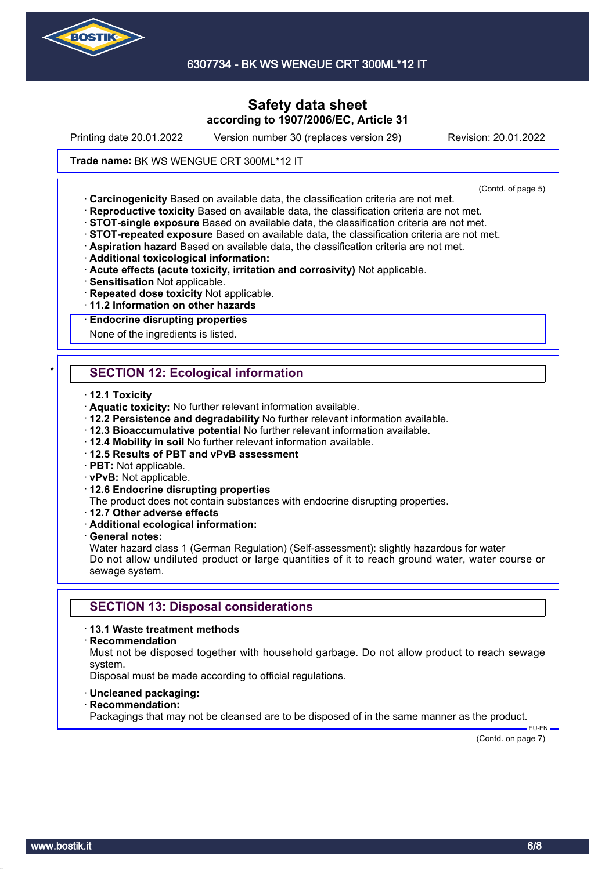

6307734 - BK WS WENGUE CRT 300ML\*12 IT

# **Safety data sheet according to 1907/2006/EC, Article 31**

Printing date 20.01.2022 Version number 30 (replaces version 29) Revision: 20.01.2022

#### Trade name: BK WS WENGUE CRT 300ML\*12 IT

(Contd. of page 5)

· **Carcinogenicity** Based on available data, the classification criteria are not met.

- · **Reproductive toxicity** Based on available data, the classification criteria are not met.
- · **STOT-single exposure** Based on available data, the classification criteria are not met.
- · **STOT-repeated exposure** Based on available data, the classification criteria are not met.
- · **Aspiration hazard** Based on available data, the classification criteria are not met.
- · **Additional toxicological information:**
- · **Acute effects (acute toxicity, irritation and corrosivity)** Not applicable.
- · **Sensitisation** Not applicable.
- · **Repeated dose toxicity** Not applicable.
- · **11.2 Information on other hazards**

#### · **Endocrine disrupting properties**

None of the ingredients is listed.

# **SECTION 12: Ecological information**

- · **12.1 Toxicity**
- · **Aquatic toxicity:** No further relevant information available.
- · **12.2 Persistence and degradability** No further relevant information available.
- · **12.3 Bioaccumulative potential** No further relevant information available.
- · **12.4 Mobility in soil** No further relevant information available.
- · **12.5 Results of PBT and vPvB assessment**
- · **PBT:** Not applicable.
- · **vPvB:** Not applicable.
- · **12.6 Endocrine disrupting properties**
- The product does not contain substances with endocrine disrupting properties.
- · **12.7 Other adverse effects**
- · **Additional ecological information:**
- · **General notes:**

Water hazard class 1 (German Regulation) (Self-assessment): slightly hazardous for water Do not allow undiluted product or large quantities of it to reach ground water, water course or sewage system.

### **SECTION 13: Disposal considerations**

#### · **13.1 Waste treatment methods**

#### · **Recommendation**

Must not be disposed together with household garbage. Do not allow product to reach sewage system.

Disposal must be made according to official regulations.

- · **Uncleaned packaging:**
- · **Recommendation:**

Packagings that may not be cleansed are to be disposed of in the same manner as the product.

(Contd. on page 7)

EU-EN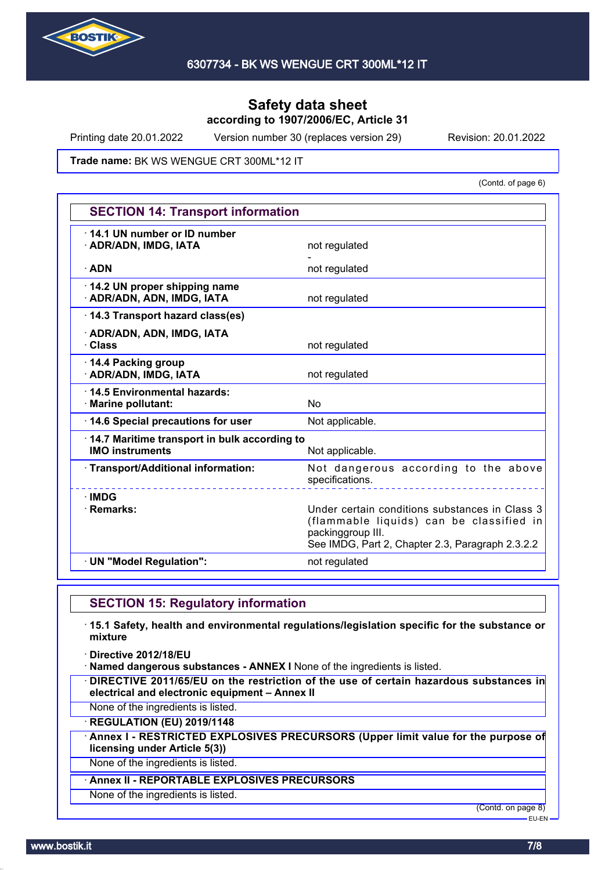

Printing date 20.01.2022 Version number 30 (replaces version 29) Revision: 20.01.2022

Trade name: BK WS WENGUE CRT 300ML\*12 IT

(Contd. of page 6)

| <b>SECTION 14: Transport information</b>                               |                                                                                                                                                                     |  |
|------------------------------------------------------------------------|---------------------------------------------------------------------------------------------------------------------------------------------------------------------|--|
| 14.1 UN number or ID number<br>· ADR/ADN, IMDG, IATA                   | not regulated                                                                                                                                                       |  |
| $\cdot$ ADN                                                            | not regulated                                                                                                                                                       |  |
| 14.2 UN proper shipping name<br>· ADR/ADN, ADN, IMDG, IATA             | not regulated                                                                                                                                                       |  |
| 14.3 Transport hazard class(es)                                        |                                                                                                                                                                     |  |
| · ADR/ADN, ADN, IMDG, IATA<br>· Class                                  | not regulated                                                                                                                                                       |  |
| 14.4 Packing group<br>· ADR/ADN, IMDG, IATA                            | not regulated                                                                                                                                                       |  |
| 14.5 Environmental hazards:<br>· Marine pollutant:                     | No                                                                                                                                                                  |  |
| 14.6 Special precautions for user                                      | Not applicable.                                                                                                                                                     |  |
| 14.7 Maritime transport in bulk according to<br><b>IMO instruments</b> | Not applicable.                                                                                                                                                     |  |
| · Transport/Additional information:                                    | Not dangerous according to the above<br>specifications.                                                                                                             |  |
| $\cdot$ IMDG<br>· Remarks:                                             | Under certain conditions substances in Class 3<br>(flammable liquids) can be classified in<br>packinggroup III.<br>See IMDG, Part 2, Chapter 2.3, Paragraph 2.3.2.2 |  |
| · UN "Model Regulation":                                               | not regulated                                                                                                                                                       |  |

# **SECTION 15: Regulatory information**

· **15.1 Safety, health and environmental regulations/legislation specific for the substance or mixture**

· **Directive 2012/18/EU**

· **Named dangerous substances - ANNEX I** None of the ingredients is listed.

· **DIRECTIVE 2011/65/EU on the restriction of the use of certain hazardous substances in electrical and electronic equipment – Annex II**

None of the ingredients is listed.

· **REGULATION (EU) 2019/1148**

· **Annex I - RESTRICTED EXPLOSIVES PRECURSORS (Upper limit value for the purpose of licensing under Article 5(3))**

None of the ingredients is listed.

### · **Annex II - REPORTABLE EXPLOSIVES PRECURSORS**

None of the ingredients is listed.

(Contd. on page 8)

EU-EN